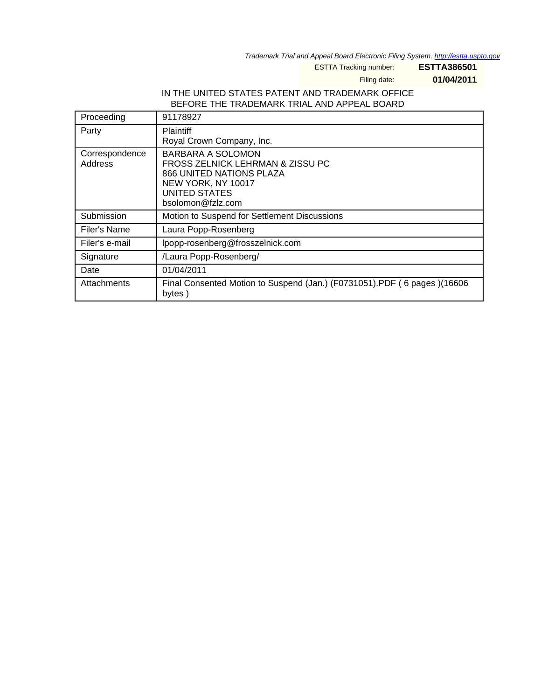Trademark Trial and Appeal Board Electronic Filing System. <http://estta.uspto.gov>

ESTTA Tracking number: **ESTTA386501**

Filing date: **01/04/2011**

## IN THE UNITED STATES PATENT AND TRADEMARK OFFICE BEFORE THE TRADEMARK TRIAL AND APPEAL BOARD

| Proceeding                | 91178927                                                                                                                                                    |
|---------------------------|-------------------------------------------------------------------------------------------------------------------------------------------------------------|
| Party                     | <b>Plaintiff</b><br>Royal Crown Company, Inc.                                                                                                               |
| Correspondence<br>Address | BARBARA A SOLOMON<br>FROSS ZELNICK LEHRMAN & ZISSU PC<br><b>866 UNITED NATIONS PLAZA</b><br>NEW YORK, NY 10017<br><b>UNITED STATES</b><br>bsolomon@fzlz.com |
| Submission                | Motion to Suspend for Settlement Discussions                                                                                                                |
| Filer's Name              | Laura Popp-Rosenberg                                                                                                                                        |
| Filer's e-mail            | lpopp-rosenberg@frosszelnick.com                                                                                                                            |
| Signature                 | /Laura Popp-Rosenberg/                                                                                                                                      |
| Date                      | 01/04/2011                                                                                                                                                  |
| Attachments               | Final Consented Motion to Suspend (Jan.) (F0731051).PDF (6 pages) (16606<br>bytes)                                                                          |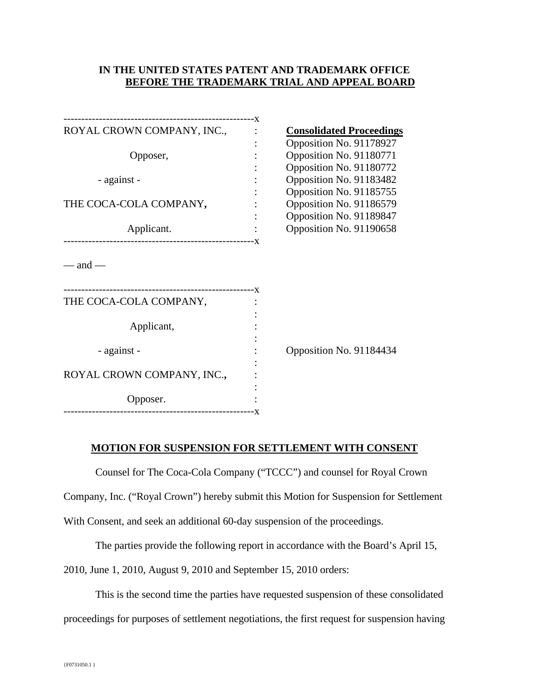## **IN THE UNITED STATES PATENT AND TRADEMARK OFFICE BEFORE THE TRADEMARK TRIAL AND APPEAL BOARD**

| ROYAL CROWN COMPANY, INC.,                 | <b>Consolidated Proceedings</b> |                         |  |
|--------------------------------------------|---------------------------------|-------------------------|--|
|                                            |                                 | Opposition No. 91178927 |  |
| Opposer,                                   |                                 | Opposition No. 91180771 |  |
|                                            |                                 | Opposition No. 91180772 |  |
| - against -                                |                                 | Opposition No. 91183482 |  |
|                                            |                                 | Opposition No. 91185755 |  |
| THE COCA-COLA COMPANY,                     |                                 | Opposition No. 91186579 |  |
|                                            |                                 | Opposition No. 91189847 |  |
| Applicant.                                 |                                 | Opposition No. 91190658 |  |
| $-$ and $-$                                |                                 |                         |  |
| THE COCA-COLA COMPANY,                     |                                 |                         |  |
| Applicant,                                 |                                 |                         |  |
| - against -                                |                                 | Opposition No. 91184434 |  |
|                                            |                                 |                         |  |
| ROYAL CROWN COMPANY, INC.,                 |                                 |                         |  |
| Opposer.<br>-----------------------------X |                                 |                         |  |
|                                            |                                 |                         |  |

## **MOTION FOR SUSPENSION FOR SETTLEMENT WITH CONSENT**

Counsel for The Coca-Cola Company ("TCCC") and counsel for Royal Crown

Company, Inc. ("Royal Crown") hereby submit this Motion for Suspension for Settlement

With Consent, and seek an additional 60-day suspension of the proceedings.

The parties provide the following report in accordance with the Board's April 15,

2010, June 1, 2010, August 9, 2010 and September 15, 2010 orders:

This is the second time the parties have requested suspension of these consolidated

proceedings for purposes of settlement negotiations, the first request for suspension having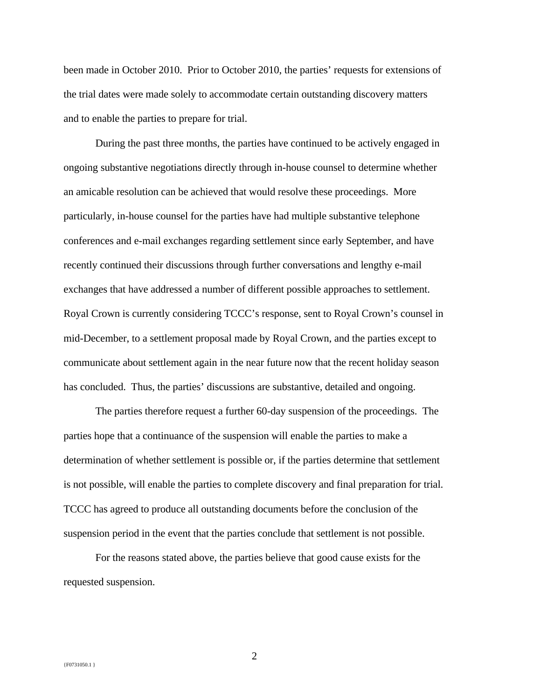been made in October 2010. Prior to October 2010, the parties' requests for extensions of the trial dates were made solely to accommodate certain outstanding discovery matters and to enable the parties to prepare for trial.

During the past three months, the parties have continued to be actively engaged in ongoing substantive negotiations directly through in-house counsel to determine whether an amicable resolution can be achieved that would resolve these proceedings. More particularly, in-house counsel for the parties have had multiple substantive telephone conferences and e-mail exchanges regarding settlement since early September, and have recently continued their discussions through further conversations and lengthy e-mail exchanges that have addressed a number of different possible approaches to settlement. Royal Crown is currently considering TCCC's response, sent to Royal Crown's counsel in mid-December, to a settlement proposal made by Royal Crown, and the parties except to communicate about settlement again in the near future now that the recent holiday season has concluded. Thus, the parties' discussions are substantive, detailed and ongoing.

The parties therefore request a further 60-day suspension of the proceedings. The parties hope that a continuance of the suspension will enable the parties to make a determination of whether settlement is possible or, if the parties determine that settlement is not possible, will enable the parties to complete discovery and final preparation for trial. TCCC has agreed to produce all outstanding documents before the conclusion of the suspension period in the event that the parties conclude that settlement is not possible.

For the reasons stated above, the parties believe that good cause exists for the requested suspension.

2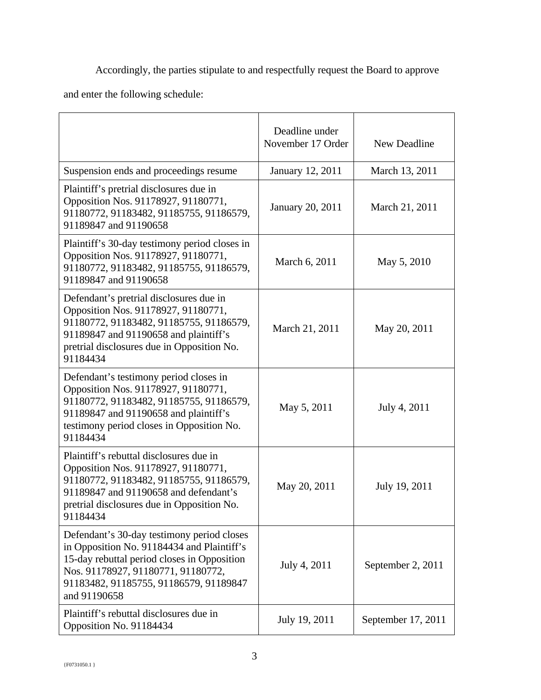Accordingly, the parties stipulate to and respectfully request the Board to approve

and enter the following schedule:

|                                                                                                                                                                                                                                         | Deadline under<br>November 17 Order | New Deadline       |
|-----------------------------------------------------------------------------------------------------------------------------------------------------------------------------------------------------------------------------------------|-------------------------------------|--------------------|
| Suspension ends and proceedings resume                                                                                                                                                                                                  | January 12, 2011                    | March 13, 2011     |
| Plaintiff's pretrial disclosures due in<br>Opposition Nos. 91178927, 91180771,<br>91180772, 91183482, 91185755, 91186579,<br>91189847 and 91190658                                                                                      | January 20, 2011                    | March 21, 2011     |
| Plaintiff's 30-day testimony period closes in<br>Opposition Nos. 91178927, 91180771,<br>91180772, 91183482, 91185755, 91186579,<br>91189847 and 91190658                                                                                | March 6, 2011                       | May 5, 2010        |
| Defendant's pretrial disclosures due in<br>Opposition Nos. 91178927, 91180771,<br>91180772, 91183482, 91185755, 91186579,<br>91189847 and 91190658 and plaintiff's<br>pretrial disclosures due in Opposition No.<br>91184434            | March 21, 2011                      | May 20, 2011       |
| Defendant's testimony period closes in<br>Opposition Nos. 91178927, 91180771,<br>91180772, 91183482, 91185755, 91186579,<br>91189847 and 91190658 and plaintiff's<br>testimony period closes in Opposition No.<br>91184434              | May 5, 2011                         | July 4, 2011       |
| Plaintiff's rebuttal disclosures due in<br>Opposition Nos. 91178927, 91180771,<br>91180772, 91183482, 91185755, 91186579,<br>91189847 and 91190658 and defendant's<br>pretrial disclosures due in Opposition No.<br>91184434            | May 20, 2011                        | July 19, 2011      |
| Defendant's 30-day testimony period closes<br>in Opposition No. 91184434 and Plaintiff's<br>15-day rebuttal period closes in Opposition<br>Nos. 91178927, 91180771, 91180772,<br>91183482, 91185755, 91186579, 91189847<br>and 91190658 | July 4, 2011                        | September 2, 2011  |
| Plaintiff's rebuttal disclosures due in<br>Opposition No. 91184434                                                                                                                                                                      | July 19, 2011                       | September 17, 2011 |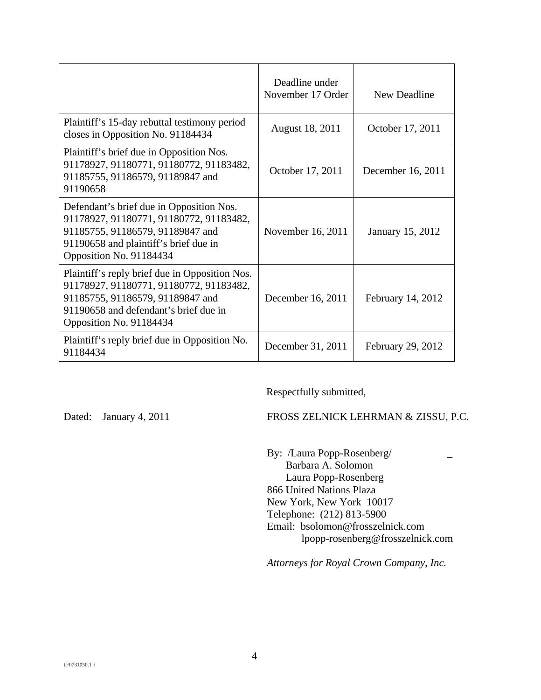|                                                                                                                                                                                                   | Deadline under<br>November 17 Order | New Deadline      |
|---------------------------------------------------------------------------------------------------------------------------------------------------------------------------------------------------|-------------------------------------|-------------------|
| Plaintiff's 15-day rebuttal testimony period<br>closes in Opposition No. 91184434                                                                                                                 | August 18, 2011                     | October 17, 2011  |
| Plaintiff's brief due in Opposition Nos.<br>91178927, 91180771, 91180772, 91183482,<br>91185755, 91186579, 91189847 and<br>91190658                                                               | October 17, 2011                    | December 16, 2011 |
| Defendant's brief due in Opposition Nos.<br>91178927, 91180771, 91180772, 91183482,<br>91185755, 91186579, 91189847 and<br>91190658 and plaintiff's brief due in<br>Opposition No. 91184434       | November 16, 2011                   | January 15, 2012  |
| Plaintiff's reply brief due in Opposition Nos.<br>91178927, 91180771, 91180772, 91183482,<br>91185755, 91186579, 91189847 and<br>91190658 and defendant's brief due in<br>Opposition No. 91184434 | December 16, 2011                   | February 14, 2012 |
| Plaintiff's reply brief due in Opposition No.<br>91184434                                                                                                                                         | December 31, 2011                   | February 29, 2012 |

Respectfully submitted,

Dated: January 4, 2011 FROSS ZELNICK LEHRMAN & ZISSU, P.C.

By: /Laura Popp-Rosenberg/ \_ Barbara A. Solomon Laura Popp-Rosenberg 866 United Nations Plaza New York, New York 10017 Telephone: (212) 813-5900 Email: bsolomon@frosszelnick.com lpopp-rosenberg@frosszelnick.com

*Attorneys for Royal Crown Company, Inc.*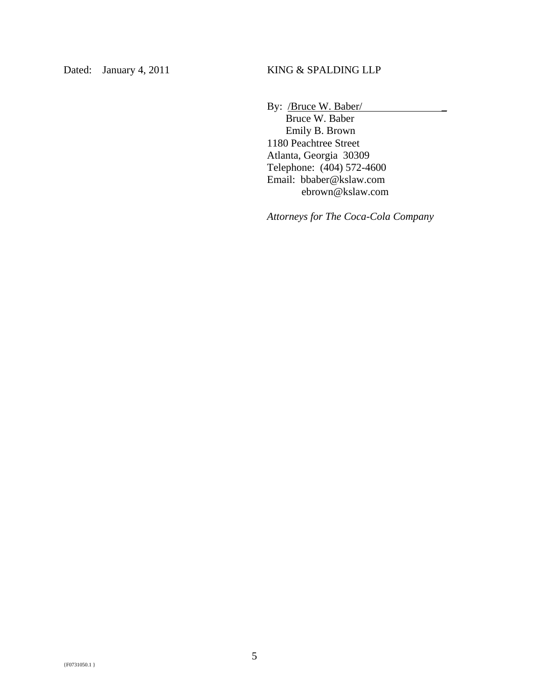By: /Bruce W. Baber/

 Bruce W. Baber Emily B. Brown 1180 Peachtree Street Atlanta, Georgia 30309 Telephone: (404) 572-4600 Email: bbaber@kslaw.com ebrown@kslaw.com

*Attorneys for The Coca-Cola Company*